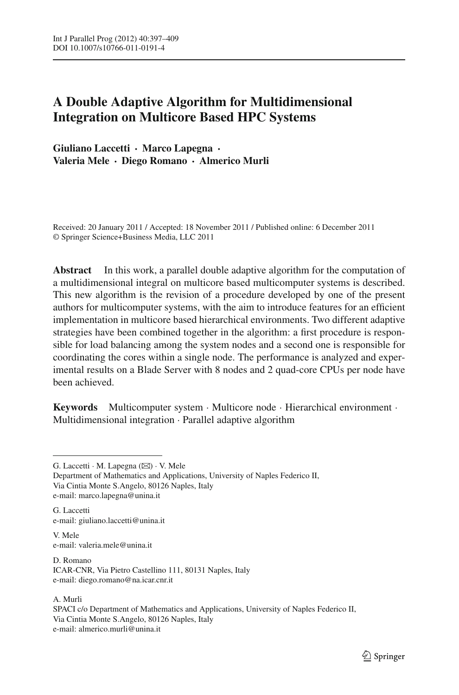# **A Double Adaptive Algorithm for Multidimensional Integration on Multicore Based HPC Systems**

**Giuliano Laccetti · Marco Lapegna · Valeria Mele · Diego Romano · Almerico Murli**

Received: 20 January 2011 / Accepted: 18 November 2011 / Published online: 6 December 2011 © Springer Science+Business Media, LLC 2011

**Abstract** In this work, a parallel double adaptive algorithm for the computation of a multidimensional integral on multicore based multicomputer systems is described. This new algorithm is the revision of a procedure developed by one of the present authors for multicomputer systems, with the aim to introduce features for an efficient implementation in multicore based hierarchical environments. Two different adaptive strategies have been combined together in the algorithm: a first procedure is responsible for load balancing among the system nodes and a second one is responsible for coordinating the cores within a single node. The performance is analyzed and experimental results on a Blade Server with 8 nodes and 2 quad-core CPUs per node have been achieved.

**Keywords** Multicomputer system · Multicore node · Hierarchical environment · Multidimensional integration · Parallel adaptive algorithm

G. Laccetti e-mail: giuliano.laccetti@unina.it

V. Mele e-mail: valeria.mele@unina.it

D. Romano ICAR-CNR, Via Pietro Castellino 111, 80131 Naples, Italy e-mail: diego.romano@na.icar.cnr.it

### A. Murli

SPACI c/o Department of Mathematics and Applications, University of Naples Federico II, Via Cintia Monte S.Angelo, 80126 Naples, Italy e-mail: almerico.murli@unina.it

G. Laccetti · M. Lapegna ( $\boxtimes$ ) · V. Mele Department of Mathematics and Applications, University of Naples Federico II, Via Cintia Monte S.Angelo, 80126 Naples, Italy e-mail: marco.lapegna@unina.it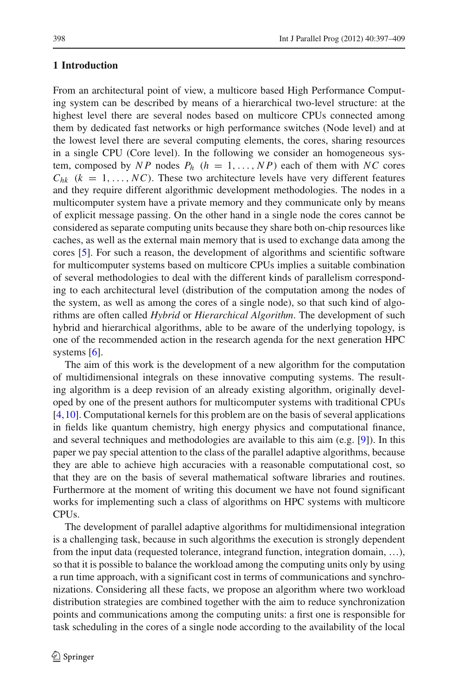### **1 Introduction**

From an architectural point of view, a multicore based High Performance Computing system can be described by means of a hierarchical two-level structure: at the highest level there are several nodes based on multicore CPUs connected among them by dedicated fast networks or high performance switches (Node level) and at the lowest level there are several computing elements, the cores, sharing resources in a single CPU (Core level). In the following we consider an homogeneous system, composed by *NP* nodes  $P_h$  ( $h = 1, \ldots, NP$ ) each of them with *NC* cores  $C_{hk}$  ( $k = 1, \ldots, NC$ ). These two architecture levels have very different features and they require different algorithmic development methodologies. The nodes in a multicomputer system have a private memory and they communicate only by means of explicit message passing. On the other hand in a single node the cores cannot be considered as separate computing units because they share both on-chip resources like caches, as well as the external main memory that is used to exchange data among the cores [\[5](#page-12-0)]. For such a reason, the development of algorithms and scientific software for multicomputer systems based on multicore CPUs implies a suitable combination of several methodologies to deal with the different kinds of parallelism corresponding to each architectural level (distribution of the computation among the nodes of the system, as well as among the cores of a single node), so that such kind of algorithms are often called *Hybrid* or *Hierarchical Algorithm*. The development of such hybrid and hierarchical algorithms, able to be aware of the underlying topology, is one of the recommended action in the research agenda for the next generation HPC systems  $[6]$  $[6]$ .

The aim of this work is the development of a new algorithm for the computation of multidimensional integrals on these innovative computing systems. The resulting algorithm is a deep revision of an already existing algorithm, originally developed by one of the present authors for multicomputer systems with traditional CPUs [\[4](#page-11-0)[,10](#page-12-2)]. Computational kernels for this problem are on the basis of several applications in fields like quantum chemistry, high energy physics and computational finance, and several techniques and methodologies are available to this aim (e.g. [\[9\]](#page-12-3)). In this paper we pay special attention to the class of the parallel adaptive algorithms, because they are able to achieve high accuracies with a reasonable computational cost, so that they are on the basis of several mathematical software libraries and routines. Furthermore at the moment of writing this document we have not found significant works for implementing such a class of algorithms on HPC systems with multicore CPUs.

The development of parallel adaptive algorithms for multidimensional integration is a challenging task, because in such algorithms the execution is strongly dependent from the input data (requested tolerance, integrand function, integration domain, …), so that it is possible to balance the workload among the computing units only by using a run time approach, with a significant cost in terms of communications and synchronizations. Considering all these facts, we propose an algorithm where two workload distribution strategies are combined together with the aim to reduce synchronization points and communications among the computing units: a first one is responsible for task scheduling in the cores of a single node according to the availability of the local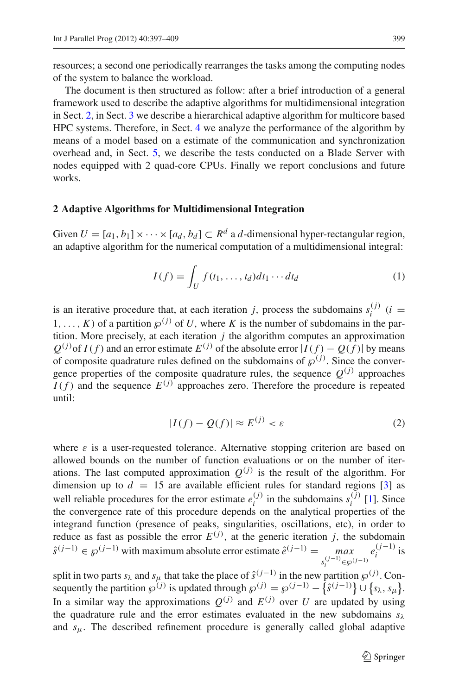resources; a second one periodically rearranges the tasks among the computing nodes of the system to balance the workload.

The document is then structured as follow: after a brief introduction of a general framework used to describe the adaptive algorithms for multidimensional integration in Sect. [2,](#page-2-0) in Sect. [3](#page-3-0) we describe a hierarchical adaptive algorithm for multicore based HPC systems. Therefore, in Sect. [4](#page-6-0) we analyze the performance of the algorithm by means of a model based on a estimate of the communication and synchronization overhead and, in Sect. [5,](#page-8-0) we describe the tests conducted on a Blade Server with nodes equipped with 2 quad-core CPUs. Finally we report conclusions and future works.

## <span id="page-2-0"></span>**2 Adaptive Algorithms for Multidimensional Integration**

Given  $U = [a_1, b_1] \times \cdots \times [a_d, b_d] \subset R^d$  a *d*-dimensional hyper-rectangular region, an adaptive algorithm for the numerical computation of a multidimensional integral:

$$
I(f) = \int_{U} f(t_1, \dots, t_d) dt_1 \cdots dt_d
$$
 (1)

<span id="page-2-2"></span>is an iterative procedure that, at each iteration *j*, process the subdomains  $s_i^{(j)}$  (*i* = 1,..., *K*) of a partition  $\varphi^{(j)}$  of *U*, where *K* is the number of subdomains in the partition. More precisely, at each iteration *j* the algorithm computes an approximation  $Q^{(j)}$  of  $I(f)$  and an error estimate  $E^{(j)}$  of the absolute error  $|I(f) - Q(f)|$  by means of composite quadrature rules defined on the subdomains of  $\wp^{(j)}$ . Since the convergence properties of the composite quadrature rules, the sequence  $Q^{(j)}$  approaches  $I(f)$  and the sequence  $E^{(j)}$  approaches zero. Therefore the procedure is repeated until:

$$
|I(f) - Q(f)| \approx E^{(j)} < \varepsilon \tag{2}
$$

<span id="page-2-1"></span>where  $\varepsilon$  is a user-requested tolerance. Alternative stopping criterion are based on allowed bounds on the number of function evaluations or on the number of iterations. The last computed approximation  $Q^{(j)}$  is the result of the algorithm. For dimension up to  $d = 15$  are available efficient rules for standard regions [\[3](#page-11-1)] as well reliable procedures for the error estimate  $e_i^{(j)}$  in the subdomains  $s_i^{(j)}$  [\[1](#page-11-2)]. Since the convergence rate of this procedure depends on the analytical properties of the integrand function (presence of peaks, singularities, oscillations, etc), in order to reduce as fast as possible the error  $E^{(j)}$ , at the generic iteration *j*, the subdomain  $\hat{s}^{(j-1)} \in \mathcal{P}^{(j-1)}$  with maximum absolute error estimate  $\hat{e}^{(j-1)} = \max_{s_i^{(j-1)} \in \mathcal{P}^{(j-1)}}$  $e_i^{(j-1)}$  is

split in two parts  $s_\lambda$  and  $s_\mu$  that take the place of  $\hat{s}^{(j-1)}$  in the new partition  $\wp^{(j)}$ . Consequently the partition  $\wp^{(j)}$  is updated through  $\wp^{(j)} = \wp^{(j-1)} - \{\hat{s}^{(j-1)}\} \cup \{s_\lambda, s_\mu\}.$ In a similar way the approximations  $O^{(j)}$  and  $E^{(j)}$  over *U* are updated by using the quadrature rule and the error estimates evaluated in the new subdomains  $s_\lambda$ and *s*μ. The described refinement procedure is generally called global adaptive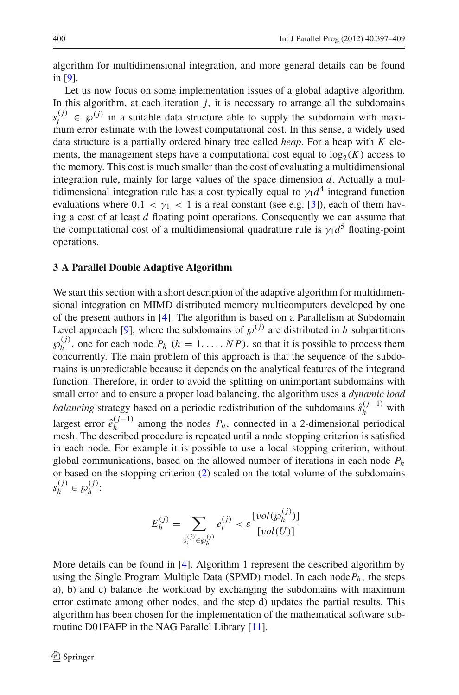algorithm for multidimensional integration, and more general details can be found in [\[9](#page-12-3)].

Let us now focus on some implementation issues of a global adaptive algorithm. In this algorithm, at each iteration  $j$ , it is necessary to arrange all the subdomains  $s_i^{(j)} \in \mathcal{P}^{(j)}$  in a suitable data structure able to supply the subdomain with maximum error estimate with the lowest computational cost. In this sense, a widely used data structure is a partially ordered binary tree called *heap*. For a heap with *K* elements, the management steps have a computational cost equal to  $log_2(K)$  access to the memory. This cost is much smaller than the cost of evaluating a multidimensional integration rule, mainly for large values of the space dimension *d*. Actually a multidimensional integration rule has a cost typically equal to  $\gamma_1 d^4$  integrand function evaluations where  $0.1 < \gamma_1 < 1$  is a real constant (see e.g. [\[3\]](#page-11-1)), each of them having a cost of at least *d* floating point operations. Consequently we can assume that the computational cost of a multidimensional quadrature rule is  $\gamma_1 d^5$  floating-point operations.

### <span id="page-3-0"></span>**3 A Parallel Double Adaptive Algorithm**

We start this section with a short description of the adaptive algorithm for multidimensional integration on MIMD distributed memory multicomputers developed by one of the present authors in [\[4](#page-11-0)]. The algorithm is based on a Parallelism at Subdomain Level approach [\[9\]](#page-12-3), where the subdomains of  $\varphi^{(j)}$  are distributed in *h* subpartitions  $\wp_h^{(j)}$ , one for each node  $P_h$  ( $h = 1, ..., NP$ ), so that it is possible to process them concurrently. The main problem of this approach is that the sequence of the subdomains is unpredictable because it depends on the analytical features of the integrand function. Therefore, in order to avoid the splitting on unimportant subdomains with small error and to ensure a proper load balancing, the algorithm uses a *dynamic load balancing* strategy based on a periodic redistribution of the subdomains  $\hat{s}_{h}^{(j-1)}$  with largest error  $\hat{e}_h^{(j-1)}$  among the nodes  $P_h$ , connected in a 2-dimensional periodical mesh. The described procedure is repeated until a node stopping criterion is satisfied in each node. For example it is possible to use a local stopping criterion, without global communications, based on the allowed number of iterations in each node *Ph* or based on the stopping criterion [\(2\)](#page-2-1) scaled on the total volume of the subdomains  $s_h^{(j)} \in \mathcal{P}_h^{(j)}$ :

$$
E_h^{(j)} = \sum_{s_i^{(j)} \in \mathcal{P}_h^{(j)}} e_i^{(j)} < \varepsilon \frac{[vol(\mathcal{P}_h^{(j)})]}{[vol(U)]}
$$

More details can be found in [\[4](#page-11-0)]. Algorithm 1 represent the described algorithm by using the Single Program Multiple Data (SPMD) model. In each node  $P_h$ , the steps a), b) and c) balance the workload by exchanging the subdomains with maximum error estimate among other nodes, and the step d) updates the partial results. This algorithm has been chosen for the implementation of the mathematical software subroutine D01FAFP in the NAG Parallel Library [\[11\]](#page-12-4).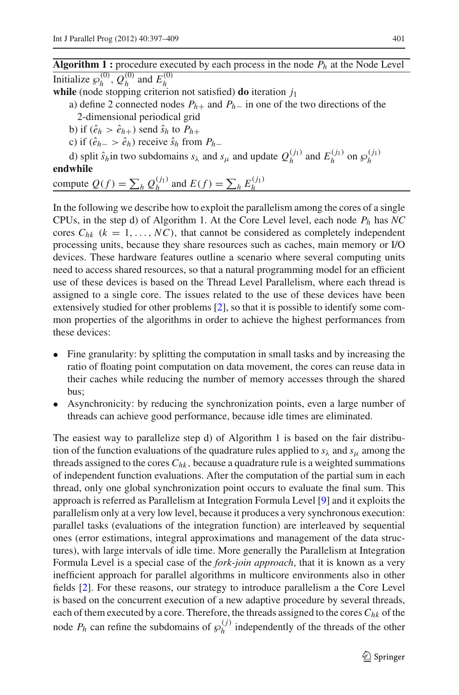**Algorithm 1 :** procedure executed by each process in the node *Ph* at the Node Level Initialize  $\wp_h^{(0)}$ ,  $Q_h^{(0)}$  and  $E_h^{(0)}$ 

**while** (node stopping criterion not satisfied) **do** iteration *j*<sup>1</sup>

a) define 2 connected nodes  $P_{h+}$  and  $P_{h-}$  in one of the two directions of the

2-dimensional periodical grid

b) if  $(\hat{e}_h > \hat{e}_{h+})$  send  $\hat{s}_h$  to  $P_{h+}$ 

c) if  $(\hat{e}_{h-} > \hat{e}_h)$  receive  $\hat{s}_h$  from  $P_{h-}$ 

d) split  $\hat{s}_h$  in two subdomains  $s_\lambda$  and  $s_\mu$  and update  $Q_h^{(j_1)}$  and  $E_h^{(j_1)}$  on  $\wp_h^{(j_1)}$ **endwhile**

# compute  $Q(f) = \sum_h Q_h^{(j_1)}$  and  $E(f) = \sum_h E_h^{(j_1)}$

In the following we describe how to exploit the parallelism among the cores of a single CPUs, in the step d) of Algorithm 1. At the Core Level level, each node *Ph* has *NC* cores  $C_{hk}$  ( $k = 1, \ldots, NC$ ), that cannot be considered as completely independent processing units, because they share resources such as caches, main memory or I/O devices. These hardware features outline a scenario where several computing units need to access shared resources, so that a natural programming model for an efficient use of these devices is based on the Thread Level Parallelism, where each thread is assigned to a single core. The issues related to the use of these devices have been extensively studied for other problems [\[2](#page-11-3)], so that it is possible to identify some common properties of the algorithms in order to achieve the highest performances from these devices:

- Fine granularity: by splitting the computation in small tasks and by increasing the ratio of floating point computation on data movement, the cores can reuse data in their caches while reducing the number of memory accesses through the shared bus;
- Asynchronicity: by reducing the synchronization points, even a large number of threads can achieve good performance, because idle times are eliminated.

The easiest way to parallelize step d) of Algorithm 1 is based on the fair distribution of the function evaluations of the quadrature rules applied to  $s_\lambda$  and  $s_\mu$  among the threads assigned to the cores  $C_{hk}$ , because a quadrature rule is a weighted summations of independent function evaluations. After the computation of the partial sum in each thread, only one global synchronization point occurs to evaluate the final sum. This approach is referred as Parallelism at Integration Formula Level [\[9\]](#page-12-3) and it exploits the parallelism only at a very low level, because it produces a very synchronous execution: parallel tasks (evaluations of the integration function) are interleaved by sequential ones (error estimations, integral approximations and management of the data structures), with large intervals of idle time. More generally the Parallelism at Integration Formula Level is a special case of the *fork-join approach*, that it is known as a very inefficient approach for parallel algorithms in multicore environments also in other fields [\[2\]](#page-11-3). For these reasons, our strategy to introduce parallelism a the Core Level is based on the concurrent execution of a new adaptive procedure by several threads, each of them executed by a core. Therefore, the threads assigned to the cores  $C_{hk}$  of the node  $P_h$  can refine the subdomains of  $\mathcal{P}_h^{(j)}$  independently of the threads of the other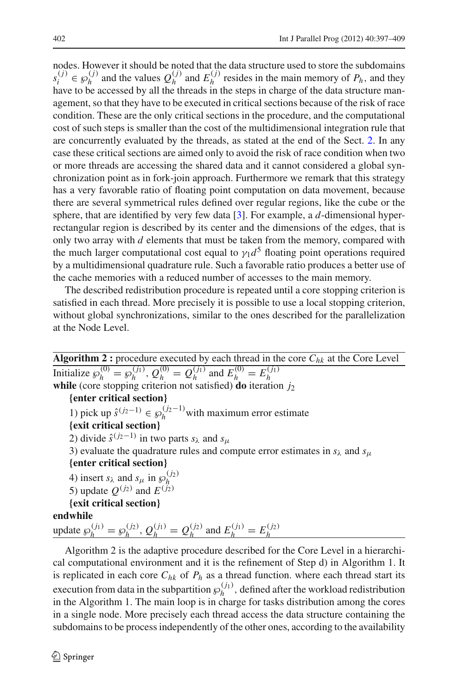nodes. However it should be noted that the data structure used to store the subdomains  $s_i^{(j)}$  ∈  $\wp_h^{(j)}$  and the values  $Q_h^{(j)}$  and  $E_h^{(j)}$  resides in the main memory of *P<sub>h</sub>*, and they have to be accessed by all the threads in the steps in charge of the data structure management, so that they have to be executed in critical sections because of the risk of race condition. These are the only critical sections in the procedure, and the computational cost of such steps is smaller than the cost of the multidimensional integration rule that are concurrently evaluated by the threads, as stated at the end of the Sect. [2.](#page-2-0) In any case these critical sections are aimed only to avoid the risk of race condition when two or more threads are accessing the shared data and it cannot considered a global synchronization point as in fork-join approach. Furthermore we remark that this strategy has a very favorable ratio of floating point computation on data movement, because there are several symmetrical rules defined over regular regions, like the cube or the sphere, that are identified by very few data [\[3\]](#page-11-1). For example, a *d*-dimensional hyperrectangular region is described by its center and the dimensions of the edges, that is only two array with *d* elements that must be taken from the memory, compared with the much larger computational cost equal to  $\gamma_1 d^5$  floating point operations required by a multidimensional quadrature rule. Such a favorable ratio produces a better use of the cache memories with a reduced number of accesses to the main memory.

The described redistribution procedure is repeated until a core stopping criterion is satisfied in each thread. More precisely it is possible to use a local stopping criterion, without global synchronizations, similar to the ones described for the parallelization at the Node Level.

**Algorithm 2 :** procedure executed by each thread in the core *Chk* at the Core Level Initialize  $\wp_h^{(0)} = \wp_h^{(j_1)}$ ,  $Q_h^{(0)} = Q_h^{(j_1)}$  and  $E_h^{(0)} = E_h^{(j_1)}$ **while** (core stopping criterion not satisfied) **do** iteration *j*<sup>2</sup> **{enter critical section}** 1) pick up  $\hat{s}^{(j_2-1)} \in \mathcal{P}_h^{(j_2-1)}$  with maximum error estimate **{exit critical section}** 2) divide  $\hat{s}^{(j_2-1)}$  in two parts *s*<sub>λ</sub> and *s*<sub>μ</sub> 3) evaluate the quadrature rules and compute error estimates in  $s_\lambda$  and  $s_\mu$ **{enter critical section}** 4) insert  $s_\lambda$  and  $s_\mu$  in  $\wp_h^{(j_2)}$  $\sigma$ ) insert  $s_{\lambda}$  and  $s_{\mu}$  in  $s_{\nu}$ <br>
5) update  $Q^{(j_2)}$  and  $E^{(j_2)}$ **{exit critical section} endwhile** update  $\wp_h^{(j_1)} = \wp_h^{(j_2)}$ ,  $Q_h^{(j_1)} = Q_h^{(j_2)}$  and  $E_h^{(j_1)} = E_h^{(j_2)}$ 

Algorithm 2 is the adaptive procedure described for the Core Level in a hierarchical computational environment and it is the refinement of Step d) in Algorithm 1. It is replicated in each core  $C_{hk}$  of  $P_h$  as a thread function. where each thread start its execution from data in the subpartition  $\wp_h^{(j_1)}$ , defined after the workload redistribution in the Algorithm 1. The main loop is in charge for tasks distribution among the cores in a single node. More precisely each thread access the data structure containing the subdomains to be process independently of the other ones, according to the availability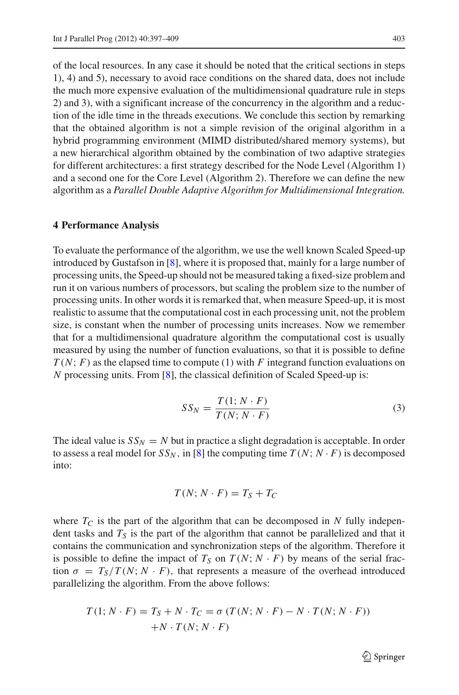of the local resources. In any case it should be noted that the critical sections in steps 1), 4) and 5), necessary to avoid race conditions on the shared data, does not include the much more expensive evaluation of the multidimensional quadrature rule in steps 2) and 3), with a significant increase of the concurrency in the algorithm and a reduction of the idle time in the threads executions. We conclude this section by remarking that the obtained algorithm is not a simple revision of the original algorithm in a hybrid programming environment (MIMD distributed/shared memory systems), but a new hierarchical algorithm obtained by the combination of two adaptive strategies for different architectures: a first strategy described for the Node Level (Algorithm 1) and a second one for the Core Level (Algorithm 2). Therefore we can define the new algorithm as a *Parallel Double Adaptive Algorithm for Multidimensional Integration.*

### <span id="page-6-0"></span>**4 Performance Analysis**

To evaluate the performance of the algorithm, we use the well known Scaled Speed-up introduced by Gustafson in [\[8\]](#page-12-5), where it is proposed that, mainly for a large number of processing units, the Speed-up should not be measured taking a fixed-size problem and run it on various numbers of processors, but scaling the problem size to the number of processing units. In other words it is remarked that, when measure Speed-up, it is most realistic to assume that the computational cost in each processing unit, not the problem size, is constant when the number of processing units increases. Now we remember that for a multidimensional quadrature algorithm the computational cost is usually measured by using the number of function evaluations, so that it is possible to define *T* (*N*; *F*) as the elapsed time to compute [\(1\)](#page-2-2) with *F* integrand function evaluations on *N* processing units. From [\[8\]](#page-12-5), the classical definition of Scaled Speed-up is:

$$
SS_N = \frac{T(1; N \cdot F)}{T(N; N \cdot F)}
$$
\n(3)

<span id="page-6-1"></span>The ideal value is  $SS_N = N$  but in practice a slight degradation is acceptable. In order to assess a real model for  $SS_N$ , in [\[8](#page-12-5)] the computing time  $T(N; N \cdot F)$  is decomposed into:

$$
T(N; N \cdot F) = T_S + T_C
$$

where  $T_C$  is the part of the algorithm that can be decomposed in N fully independent tasks and  $T<sub>S</sub>$  is the part of the algorithm that cannot be parallelized and that it contains the communication and synchronization steps of the algorithm. Therefore it is possible to define the impact of  $T_S$  on  $T(N; N \cdot F)$  by means of the serial fraction  $\sigma = T_S/T(N; N \cdot F)$ , that represents a measure of the overhead introduced parallelizing the algorithm. From the above follows:

$$
T(1; N \cdot F) = T_S + N \cdot T_C = \sigma (T(N; N \cdot F) - N \cdot T(N; N \cdot F))
$$
  
+N \cdot T(N; N \cdot F)

 $\mathcal{D}$  Springer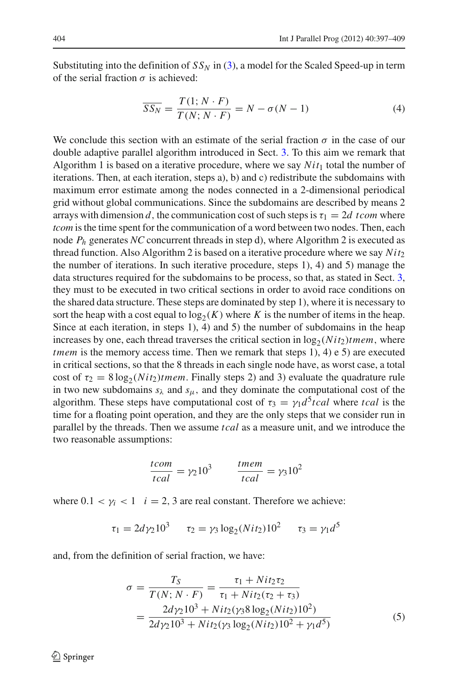Substituting into the definition of  $SS_N$  in [\(3\)](#page-6-1), a model for the Scaled Speed-up in term of the serial fraction  $\sigma$  is achieved:

$$
\overline{SS_N} = \frac{T(1; N \cdot F)}{T(N; N \cdot F)} = N - \sigma(N - 1)
$$
\n(4)

<span id="page-7-0"></span>We conclude this section with an estimate of the serial fraction  $\sigma$  in the case of our double adaptive parallel algorithm introduced in Sect. [3.](#page-3-0) To this aim we remark that Algorithm 1 is based on a iterative procedure, where we say  $Nit_1$  total the number of iterations. Then, at each iteration, steps a), b) and c) redistribute the subdomains with maximum error estimate among the nodes connected in a 2-dimensional periodical grid without global communications. Since the subdomains are described by means 2 arrays with dimension *d*, the communication cost of such steps is  $\tau_1 = 2d$  tcom where *tcom* is the time spent for the communication of a word between two nodes. Then, each node *Ph* generates *NC* concurrent threads in step d), where Algorithm 2 is executed as thread function. Also Algorithm 2 is based on a iterative procedure where we say *Nit*<sup>2</sup> the number of iterations. In such iterative procedure, steps 1), 4) and 5) manage the data structures required for the subdomains to be process, so that, as stated in Sect. [3,](#page-3-0) they must to be executed in two critical sections in order to avoid race conditions on the shared data structure. These steps are dominated by step 1), where it is necessary to sort the heap with a cost equal to  $log_2(K)$  where *K* is the number of items in the heap. Since at each iteration, in steps 1), 4) and 5) the number of subdomains in the heap increases by one, each thread traverses the critical section in  $log_2(Nit_2)$ *tmem*, where *tmem* is the memory access time. Then we remark that steps 1), 4) e 5) are executed in critical sections, so that the 8 threads in each single node have, as worst case, a total cost of  $\tau_2 = 8 \log_2(Nit_2)$ *tmem*. Finally steps 2) and 3) evaluate the quadrature rule in two new subdomains  $s_{\lambda}$  and  $s_{\mu}$ , and they dominate the computational cost of the algorithm. These steps have computational cost of  $\tau_3 = \gamma_1 d^5 tca$  where *tcal* is the time for a floating point operation, and they are the only steps that we consider run in parallel by the threads. Then we assume *tcal* as a measure unit, and we introduce the two reasonable assumptions:

$$
\frac{tcom}{tcal} = \gamma_2 10^3 \qquad \frac{tmem}{tcal} = \gamma_3 10^2
$$

where  $0.1 < \gamma_i < 1$  *i* = 2, 3 are real constant. Therefore we achieve:

$$
\tau_1 = 2d\gamma_2 10^3 \qquad \tau_2 = \gamma_3 \log_2(Nit_2) 10^2 \qquad \tau_3 = \gamma_1 d^5
$$

<span id="page-7-1"></span>and, from the definition of serial fraction, we have:

$$
\sigma = \frac{T_S}{T(N; N \cdot F)} = \frac{\tau_1 + Nit_2\tau_2}{\tau_1 + Nit_2(\tau_2 + \tau_3)}
$$
  
= 
$$
\frac{2d\gamma_2 10^3 + Nit_2(\gamma_3 8 \log_2(Nit_2) 10^2)}{2d\gamma_2 10^3 + Nit_2(\gamma_3 \log_2(Nit_2) 10^2 + \gamma_1 d^5)}
$$
(5)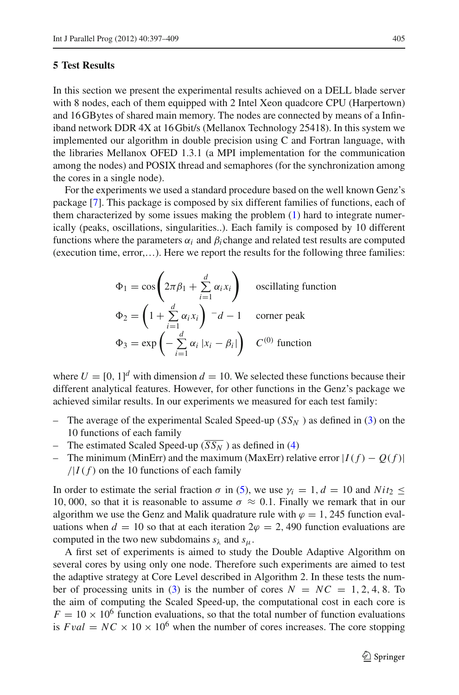# <span id="page-8-0"></span>**5 Test Results**

In this section we present the experimental results achieved on a DELL blade server with 8 nodes, each of them equipped with 2 Intel Xeon quadcore CPU (Harpertown) and 16 GBytes of shared main memory. The nodes are connected by means of a Infiniband network DDR 4X at 16 Gbit/s (Mellanox Technology 25418). In this system we implemented our algorithm in double precision using C and Fortran language, with the libraries Mellanox OFED 1.3.1 (a MPI implementation for the communication among the nodes) and POSIX thread and semaphores (for the synchronization among the cores in a single node).

For the experiments we used a standard procedure based on the well known Genz's package [\[7](#page-12-6)]. This package is composed by six different families of functions, each of them characterized by some issues making the problem [\(1\)](#page-2-2) hard to integrate numerically (peaks, oscillations, singularities..). Each family is composed by 10 different functions where the parameters  $\alpha_i$  and  $\beta_i$  change and related test results are computed (execution time, error,…). Here we report the results for the following three families:

$$
\Phi_1 = \cos\left(2\pi\beta_1 + \sum_{i=1}^d \alpha_i x_i\right) \quad \text{oscillating function}
$$
\n
$$
\Phi_2 = \left(1 + \sum_{i=1}^d \alpha_i x_i\right)^{-1} - d - 1 \quad \text{corner peak}
$$
\n
$$
\Phi_3 = \exp\left(-\sum_{i=1}^d \alpha_i |x_i - \beta_i|\right) \quad C^{(0)} \text{ function}
$$

where  $U = [0, 1]^d$  with dimension  $d = 10$ . We selected these functions because their different analytical features. However, for other functions in the Genz's package we achieved similar results. In our experiments we measured for each test family:

- The average of the experimental Scaled Speed-up  $(S_{N})$  as defined in [\(3\)](#page-6-1) on the 10 functions of each family
- The estimated Scaled Speed-up  $(\overline{SS_N})$  as defined in [\(4\)](#page-7-0)
- The minimum (MinErr) and the maximum (MaxErr) relative error  $|I(f) O(f)|$  $/|I(f)|$  on the 10 functions of each family

In order to estimate the serial fraction  $\sigma$  in [\(5\)](#page-7-1), we use  $\gamma_i = 1$ ,  $d = 10$  and  $Nit_2 \leq$ 10, 000, so that it is reasonable to assume  $\sigma \approx 0.1$ . Finally we remark that in our algorithm we use the Genz and Malik quadrature rule with  $\varphi = 1$ , 245 function evaluations when  $d = 10$  so that at each iteration  $2\varphi = 2$ , 490 function evaluations are computed in the two new subdomains  $s_{\lambda}$  and  $s_{\mu}$ .

A first set of experiments is aimed to study the Double Adaptive Algorithm on several cores by using only one node. Therefore such experiments are aimed to test the adaptive strategy at Core Level described in Algorithm 2. In these tests the num-ber of processing units in [\(3\)](#page-6-1) is the number of cores  $N = NC = 1, 2, 4, 8$ . To the aim of computing the Scaled Speed-up, the computational cost in each core is  $F = 10 \times 10^6$  function evaluations, so that the total number of function evaluations is  $Fval = NC \times 10 \times 10^6$  when the number of cores increases. The core stopping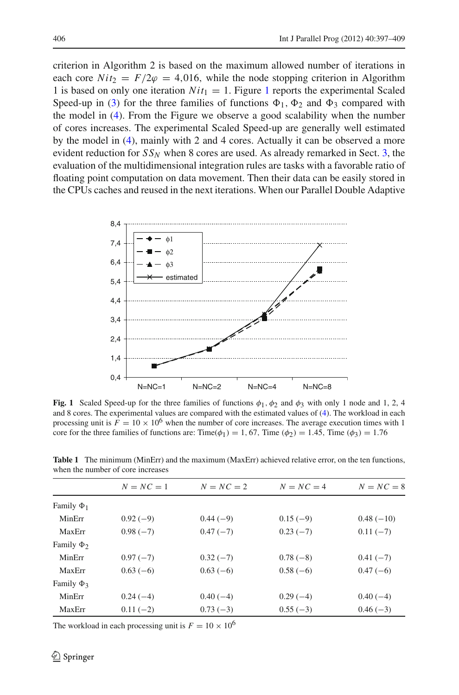criterion in Algorithm 2 is based on the maximum allowed number of iterations in each core  $Nit_2 = F/2\varphi = 4,016$ , while the node stopping criterion in Algorithm [1](#page-9-0) is based on only one iteration  $Nit_1 = 1$ . Figure 1 reports the experimental Scaled Speed-up in [\(3\)](#page-6-1) for the three families of functions  $\Phi_1$ ,  $\Phi_2$  and  $\Phi_3$  compared with the model in [\(4\)](#page-7-0). From the Figure we observe a good scalability when the number of cores increases. The experimental Scaled Speed-up are generally well estimated by the model in [\(4\)](#page-7-0), mainly with 2 and 4 cores. Actually it can be observed a more evident reduction for  $SS_N$  when 8 cores are used. As already remarked in Sect. [3,](#page-3-0) the evaluation of the multidimensional integration rules are tasks with a favorable ratio of floating point computation on data movement. Then their data can be easily stored in the CPUs caches and reused in the next iterations. When our Parallel Double Adaptive



<span id="page-9-0"></span>**Fig. 1** Scaled Speed-up for the three families of functions  $\phi_1$ ,  $\phi_2$  and  $\phi_3$  with only 1 node and 1, 2, 4 and 8 cores. The experimental values are compared with the estimated values of [\(4\)](#page-7-0). The workload in each processing unit is  $F = 10 \times 10^6$  when the number of core increases. The average execution times with 1 core for the three families of functions are: Time( $\phi_1$ ) = 1, 67, Time ( $\phi_2$ ) = 1.45, Time ( $\phi_3$ ) = 1.76

|                 | $N = NC = 1$ | $N = NC = 2$ | $N = NC = 4$ | $N = NC = 8$ |
|-----------------|--------------|--------------|--------------|--------------|
| Family $\Phi_1$ |              |              |              |              |
| MinErr          | $0.92(-9)$   | $0.44(-9)$   | $0.15(-9)$   | $0.48(-10)$  |
| MaxErr          | $0.98(-7)$   | $0.47(-7)$   | $0.23(-7)$   | $0.11(-7)$   |
| Family $\Phi_2$ |              |              |              |              |
| MinErr          | $0.97(-7)$   | $0.32(-7)$   | $0.78(-8)$   | $0.41(-7)$   |
| MaxErr          | $0.63(-6)$   | $0.63(-6)$   | $0.58(-6)$   | $0.47(-6)$   |
| Family $\Phi_3$ |              |              |              |              |
| MinErr          | $0.24(-4)$   | $0.40(-4)$   | $0.29(-4)$   | $0.40(-4)$   |
| MaxErr          | $0.11(-2)$   | $0.73(-3)$   | $0.55(-3)$   | $0.46(-3)$   |

<span id="page-9-1"></span>**Table 1** The minimum (MinErr) and the maximum (MaxErr) achieved relative error, on the ten functions, when the number of core increases

The workload in each processing unit is  $F = 10 \times 10^6$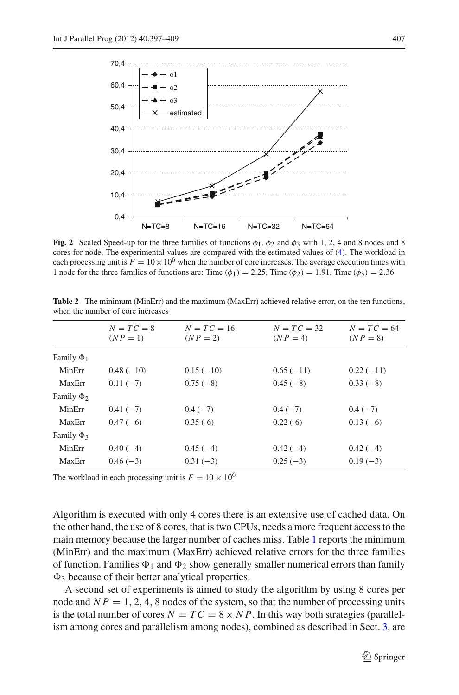

<span id="page-10-0"></span>**Fig. 2** Scaled Speed-up for the three families of functions  $\phi_1$ ,  $\phi_2$  and  $\phi_3$  with 1, 2, 4 and 8 nodes and 8 cores for node. The experimental values are compared with the estimated values of [\(4\)](#page-7-0). The workload in each processing unit is  $F = 10 \times 10^6$  when the number of core increases. The average execution times with 1 node for the three families of functions are: Time  $(\phi_1) = 2.25$ , Time  $(\phi_2) = 1.91$ , Time  $(\phi_3) = 2.36$ 

|                 | $N = TC = 8$<br>$(NP = 1)$ | $N = TC = 16$<br>$(NP = 2)$ | $N = TC = 32$<br>$(NP = 4)$ | $N = TC = 64$<br>$(NP = 8)$ |
|-----------------|----------------------------|-----------------------------|-----------------------------|-----------------------------|
| Family $\Phi_1$ |                            |                             |                             |                             |
| MinErr          | $0.48(-10)$                | $0.15(-10)$                 | $0.65(-11)$                 | $0.22(-11)$                 |
| MaxErr          | $0.11(-7)$                 | $0.75(-8)$                  | $0.45(-8)$                  | $0.33(-8)$                  |
| Family $\Phi_2$ |                            |                             |                             |                             |
| MinErr          | $0.41(-7)$                 | $0.4(-7)$                   | $0.4(-7)$                   | $0.4(-7)$                   |
| MaxErr          | $0.47(-6)$                 | $0.35(-6)$                  | $0.22(-6)$                  | $0.13(-6)$                  |
| Family $\Phi_3$ |                            |                             |                             |                             |
| MinErr          | $0.40(-4)$                 | $0.45(-4)$                  | $0.42(-4)$                  | $0.42(-4)$                  |
| MaxErr          | $0.46(-3)$                 | $0.31(-3)$                  | $0.25(-3)$                  | $0.19(-3)$                  |

<span id="page-10-1"></span>**Table 2** The minimum (MinErr) and the maximum (MaxErr) achieved relative error, on the ten functions, when the number of core increases

The workload in each processing unit is  $F = 10 \times 10^6$ 

Algorithm is executed with only 4 cores there is an extensive use of cached data. On the other hand, the use of 8 cores, that is two CPUs, needs a more frequent access to the main memory because the larger number of caches miss. Table [1](#page-9-1) reports the minimum (MinErr) and the maximum (MaxErr) achieved relative errors for the three families of function. Families  $\Phi_1$  and  $\Phi_2$  show generally smaller numerical errors than family  $\Phi_3$  because of their better analytical properties.

A second set of experiments is aimed to study the algorithm by using 8 cores per node and  $NP = 1, 2, 4, 8$  nodes of the system, so that the number of processing units is the total number of cores  $N = TC = 8 \times NP$ . In this way both strategies (parallelism among cores and parallelism among nodes), combined as described in Sect. [3,](#page-3-0) are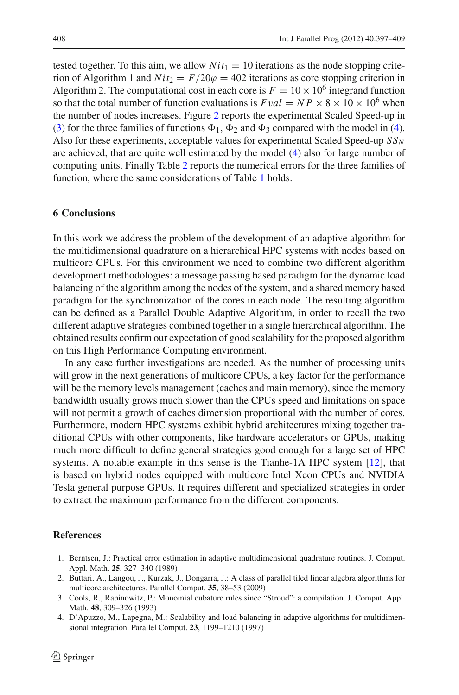tested together. To this aim, we allow  $Nit_1 = 10$  iterations as the node stopping criterion of Algorithm 1 and  $Nit_2 = F/20\varphi = 402$  iterations as core stopping criterion in Algorithm 2. The computational cost in each core is  $F = 10 \times 10^6$  integrand function so that the total number of function evaluations is  $Fval = NP \times 8 \times 10 \times 10^6$  when the number of nodes increases. Figure [2](#page-10-0) reports the experimental Scaled Speed-up in [\(3\)](#page-6-1) for the three families of functions  $\Phi_1$ ,  $\Phi_2$  and  $\Phi_3$  compared with the model in [\(4\)](#page-7-0). Also for these experiments, acceptable values for experimental Scaled Speed-up *SSN* are achieved, that are quite well estimated by the model [\(4\)](#page-7-0) also for large number of computing units. Finally Table [2](#page-10-1) reports the numerical errors for the three families of function, where the same considerations of Table [1](#page-9-1) holds.

### **6 Conclusions**

In this work we address the problem of the development of an adaptive algorithm for the multidimensional quadrature on a hierarchical HPC systems with nodes based on multicore CPUs. For this environment we need to combine two different algorithm development methodologies: a message passing based paradigm for the dynamic load balancing of the algorithm among the nodes of the system, and a shared memory based paradigm for the synchronization of the cores in each node. The resulting algorithm can be defined as a Parallel Double Adaptive Algorithm, in order to recall the two different adaptive strategies combined together in a single hierarchical algorithm. The obtained results confirm our expectation of good scalability for the proposed algorithm on this High Performance Computing environment.

In any case further investigations are needed. As the number of processing units will grow in the next generations of multicore CPUs, a key factor for the performance will be the memory levels management (caches and main memory), since the memory bandwidth usually grows much slower than the CPUs speed and limitations on space will not permit a growth of caches dimension proportional with the number of cores. Furthermore, modern HPC systems exhibit hybrid architectures mixing together traditional CPUs with other components, like hardware accelerators or GPUs, making much more difficult to define general strategies good enough for a large set of HPC systems. A notable example in this sense is the Tianhe-1A HPC system [\[12\]](#page-12-7), that is based on hybrid nodes equipped with multicore Intel Xeon CPUs and NVIDIA Tesla general purpose GPUs. It requires different and specialized strategies in order to extract the maximum performance from the different components.

### <span id="page-11-2"></span>**References**

- 1. Berntsen, J.: Practical error estimation in adaptive multidimensional quadrature routines. J. Comput. Appl. Math. **25**, 327–340 (1989)
- <span id="page-11-3"></span>2. Buttari, A., Langou, J., Kurzak, J., Dongarra, J.: A class of parallel tiled linear algebra algorithms for multicore architectures. Parallel Comput. **35**, 38–53 (2009)
- <span id="page-11-1"></span>3. Cools, R., Rabinowitz, P.: Monomial cubature rules since "Stroud": a compilation. J. Comput. Appl. Math. **48**, 309–326 (1993)
- <span id="page-11-0"></span>4. D'Apuzzo, M., Lapegna, M.: Scalability and load balancing in adaptive algorithms for multidimensional integration. Parallel Comput. **23**, 1199–1210 (1997)